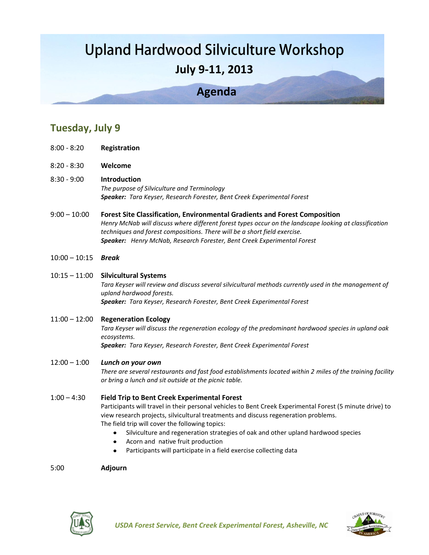# **Upland Hardwood Silviculture Workshop July 9-11, 2013**

## **Agenda**

### **Tuesday, July 9**

- 8:00 8:20 **Registration**
- 8:20 8:30 **Welcome**
- 8:30 9:00 **Introduction**  *The purpose of Silviculture and Terminology Speaker: Tara Keyser, Research Forester, Bent Creek Experimental Forest*
- 9:00 10:00 **Forest Site Classification, Environmental Gradients and Forest Composition** *Henry McNab will discuss where different forest types occur on the landscape looking at classification techniques and forest compositions. There will be a short field exercise. Speaker: Henry McNab, Research Forester, Bent Creek Experimental Forest*
- 10:00 10:15 *Break*
- 10:15 11:00 **Silvicultural Systems**

*Tara Keyser will review and discuss several silvicultural methods currently used in the management of upland hardwood forests. Speaker: Tara Keyser, Research Forester, Bent Creek Experimental Forest*

11:00 – 12:00 **Regeneration Ecology**

*Tara Keyser will discuss the regeneration ecology of the predominant hardwood species in upland oak ecosystems.*

*Speaker: Tara Keyser, Research Forester, Bent Creek Experimental Forest*

#### 12:00 – 1:00 *Lunch on your own*

*There are several restaurants and fast food establishments located within 2 miles of the training facility or bring a lunch and sit outside at the picnic table.*

#### 1:00 – 4:30 **Field Trip to Bent Creek Experimental Forest**

Participants will travel in their personal vehicles to Bent Creek Experimental Forest (5 minute drive) to view research projects, silvicultural treatments and discuss regeneration problems. The field trip will cover the following topics:

- Silviculture and regeneration strategies of oak and other upland hardwood species
- Acorn and native fruit production
- Participants will participate in a field exercise collecting data

#### 5:00 **Adjourn**